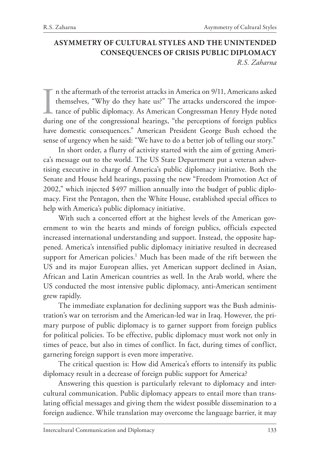# **ASYMMETRY OF CULTURAL STYLES AND THE UNINTENDED CONSEQUENCES OF CRISIS PUBLIC DIPLOMACY** *R.S. Zaharna*

 $\prod_{\text{dur}}$ n the aftermath of the terrorist attacks in America on 9/11, Americans asked themselves, "Why do they hate us?" The attacks underscored the importance of public diplomacy. As American Congressman Henry Hyde noted during one of the congressional hearings, "the perceptions of foreign publics have domestic consequences." American President George Bush echoed the sense of urgency when he said: "We have to do a better job of telling our story."

In short order, a flurry of activity started with the aim of getting America's message out to the world. The US State Department put a veteran advertising executive in charge of America's public diplomacy initiative. Both the Senate and House held hearings, passing the new "Freedom Promotion Act of 2002," which injected \$497 million annually into the budget of public diplomacy. First the Pentagon, then the White House, established special offices to help with America's public diplomacy initiative.

With such a concerted effort at the highest levels of the American government to win the hearts and minds of foreign publics, officials expected increased international understanding and support. Instead, the opposite happened. America's intensified public diplomacy initiative resulted in decreased support for American policies.<sup>1</sup> Much has been made of the rift between the US and its major European allies, yet American support declined in Asian, African and Latin American countries as well. In the Arab world, where the US conducted the most intensive public diplomacy, anti-American sentiment grew rapidly.

The immediate explanation for declining support was the Bush administration's war on terrorism and the American-led war in Iraq. However, the primary purpose of public diplomacy is to garner support from foreign publics for political policies. To be effective, public diplomacy must work not only in times of peace, but also in times of conflict. In fact, during times of conflict, garnering foreign support is even more imperative.

The critical question is: How did America's efforts to intensify its public diplomacy result in a decrease of foreign public support for America?

Answering this question is particularly relevant to diplomacy and intercultural communication. Public diplomacy appears to entail more than translating official messages and giving them the widest possible dissemination to a foreign audience. While translation may overcome the language barrier, it may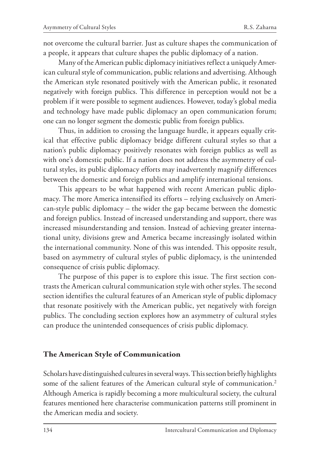not overcome the cultural barrier. Just as culture shapes the communication of a people, it appears that culture shapes the public diplomacy of a nation.

Many of the American public diplomacy initiatives reflect a uniquely American cultural style of communication, public relations and advertising. Although the American style resonated positively with the American public, it resonated negatively with foreign publics. This difference in perception would not be a problem if it were possible to segment audiences. However, today's global media and technology have made public diplomacy an open communication forum; one can no longer segment the domestic public from foreign publics.

Thus, in addition to crossing the language hurdle, it appears equally critical that effective public diplomacy bridge different cultural styles so that a nation's public diplomacy positively resonates with foreign publics as well as with one's domestic public. If a nation does not address the asymmetry of cultural styles, its public diplomacy efforts may inadvertently magnify differences between the domestic and foreign publics and amplify international tensions.

This appears to be what happened with recent American public diplomacy. The more America intensified its efforts – relying exclusively on American-style public diplomacy – the wider the gap became between the domestic and foreign publics. Instead of increased understanding and support, there was increased misunderstanding and tension. Instead of achieving greater international unity, divisions grew and America became increasingly isolated within the international community. None of this was intended. This opposite result, based on asymmetry of cultural styles of public diplomacy, is the unintended consequence of crisis public diplomacy.

The purpose of this paper is to explore this issue. The first section contrasts the American cultural communication style with other styles. The second section identifies the cultural features of an American style of public diplomacy that resonate positively with the American public, yet negatively with foreign publics. The concluding section explores how an asymmetry of cultural styles can produce the unintended consequences of crisis public diplomacy.

## **The American Style of Communication**

Scholars have distinguished cultures in several ways. This section briefly highlights some of the salient features of the American cultural style of communication.<sup>2</sup> Although America is rapidly becoming a more multicultural society, the cultural features mentioned here characterise communication patterns still prominent in the American media and society.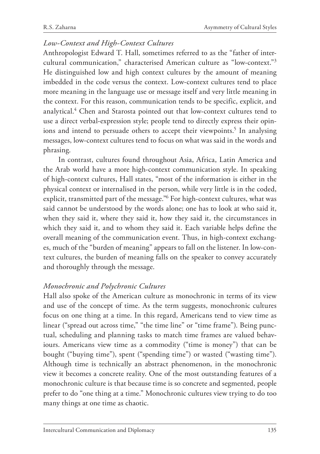## *Low-Context and High-Context Cultures*

Anthropologist Edward T. Hall, sometimes referred to as the "father of intercultural communication," characterised American culture as "low-context."3 He distinguished low and high context cultures by the amount of meaning imbedded in the code versus the context. Low-context cultures tend to place more meaning in the language use or message itself and very little meaning in the context. For this reason, communication tends to be specific, explicit, and analytical.4 Chen and Starosta pointed out that low-context cultures tend to use a direct verbal-expression style; people tend to directly express their opinions and intend to persuade others to accept their viewpoints.<sup>5</sup> In analysing messages, low-context cultures tend to focus on what was said in the words and phrasing.

In contrast, cultures found throughout Asia, Africa, Latin America and the Arab world have a more high-context communication style. In speaking of high-context cultures, Hall states, "most of the information is either in the physical context or internalised in the person, while very little is in the coded, explicit, transmitted part of the message."6 For high-context cultures, what was said cannot be understood by the words alone; one has to look at who said it, when they said it, where they said it, how they said it, the circumstances in which they said it, and to whom they said it. Each variable helps define the overall meaning of the communication event. Thus, in high-context exchanges, much of the "burden of meaning" appears to fall on the listener. In low-context cultures, the burden of meaning falls on the speaker to convey accurately and thoroughly through the message.

# *Monochronic and Polychronic Cultures*

Hall also spoke of the American culture as monochronic in terms of its view and use of the concept of time. As the term suggests, monochronic cultures focus on one thing at a time. In this regard, Americans tend to view time as linear ("spread out across time," "the time line" or "time frame"). Being punctual, scheduling and planning tasks to match time frames are valued behaviours. Americans view time as a commodity ("time is money") that can be bought ("buying time"), spent ("spending time") or wasted ("wasting time"). Although time is technically an abstract phenomenon, in the monochronic view it becomes a concrete reality. One of the most outstanding features of a monochronic culture is that because time is so concrete and segmented, people prefer to do "one thing at a time." Monochronic cultures view trying to do too many things at one time as chaotic.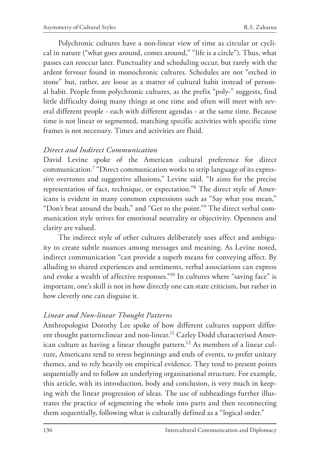Polychronic cultures have a non-linear view of time as circular or cyclical in nature ("what goes around, comes around," "life is a circle"). Thus, what passes can reoccur later. Punctuality and scheduling occur, but rarely with the ardent fervour found in monochronic cultures. Schedules are not "etched in stone" but, rather, are loose as a matter of cultural habit instead of personal habit. People from polychronic cultures, as the prefix "poly-" suggests, find little difficulty doing many things at one time and often will meet with several different people - each with different agendas - at the same time. Because time is not linear or segmented, matching specific activities with specific time frames is not necessary. Times and activities are fluid.

#### *Direct and Indirect Communication*

David Levine spoke of the American cultural preference for direct communication.7 "Direct communication works to strip language of its expressive overtones and suggestive allusions," Levine said. "It aims for the precise representation of fact, technique, or expectation."8 The direct style of Americans is evident in many common expressions such as "Say what you mean," "Don't beat around the bush," and "Get to the point."9 The direct verbal communication style strives for emotional neutrality or objectivity. Openness and clarity are valued.

The indirect style of other cultures deliberately uses affect and ambiguity to create subtle nuances among messages and meaning. As Levine noted, indirect communication "can provide a superb means for conveying affect. By alluding to shared experiences and sentiments, verbal associations can express and evoke a wealth of affective responses."10 In cultures where "saving face" is important, one's skill is not in how directly one can state criticism, but rather in how cleverly one can disguise it.

## *Linear and Non-linear Thought Patterns*

Anthropologist Dorothy Lee spoke of how different cultures support different thought patterns: linear and non-linear.<sup>11</sup> Carley Dodd characterised American culture as having a linear thought pattern.<sup>12</sup> As members of a linear culture, Americans tend to stress beginnings and ends of events, to prefer unitary themes, and to rely heavily on empirical evidence. They tend to present points sequentially and to follow an underlying organisational structure. For example, this article, with its introduction, body and conclusion, is very much in keeping with the linear progression of ideas. The use of subheadings further illustrates the practice of segmenting the whole into parts and then reconnecting them sequentially, following what is culturally defined as a "logical order."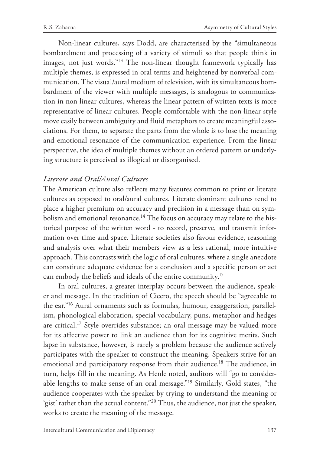Non-linear cultures, says Dodd, are characterised by the "simultaneous bombardment and processing of a variety of stimuli so that people think in images, not just words."13 The non-linear thought framework typically has multiple themes, is expressed in oral terms and heightened by nonverbal communication. The visual/aural medium of television, with its simultaneous bombardment of the viewer with multiple messages, is analogous to communication in non-linear cultures, whereas the linear pattern of written texts is more representative of linear cultures. People comfortable with the non-linear style move easily between ambiguity and fluid metaphors to create meaningful associations. For them, to separate the parts from the whole is to lose the meaning and emotional resonance of the communication experience. From the linear perspective, the idea of multiple themes without an ordered pattern or underlying structure is perceived as illogical or disorganised.

# *Literate and Oral/Aural Cultures*

The American culture also reflects many features common to print or literate cultures as opposed to oral/aural cultures. Literate dominant cultures tend to place a higher premium on accuracy and precision in a message than on symbolism and emotional resonance.<sup>14</sup> The focus on accuracy may relate to the historical purpose of the written word - to record, preserve, and transmit information over time and space. Literate societies also favour evidence, reasoning and analysis over what their members view as a less rational, more intuitive approach. This contrasts with the logic of oral cultures, where a single anecdote can constitute adequate evidence for a conclusion and a specific person or act can embody the beliefs and ideals of the entire community.15

In oral cultures, a greater interplay occurs between the audience, speaker and message. In the tradition of Cicero, the speech should be "agreeable to the ear."16 Aural ornaments such as formulas, humour, exaggeration, parallelism, phonological elaboration, special vocabulary, puns, metaphor and hedges are critical.17 Style overrides substance; an oral message may be valued more for its affective power to link an audience than for its cognitive merits. Such lapse in substance, however, is rarely a problem because the audience actively participates with the speaker to construct the meaning. Speakers strive for an emotional and participatory response from their audience.<sup>18</sup> The audience, in turn, helps fill in the meaning. As Henle noted, auditors will "go to considerable lengths to make sense of an oral message."19 Similarly, Gold states, "the audience cooperates with the speaker by trying to understand the meaning or 'gist' rather than the actual content."<sup>20</sup> Thus, the audience, not just the speaker, works to create the meaning of the message.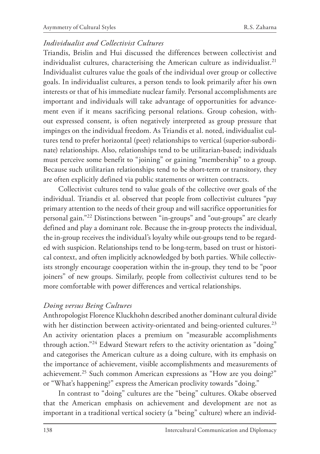## *Individualist and Collectivist Cultures*

Triandis, Brislin and Hui discussed the differences between collectivist and individualist cultures, characterising the American culture as individualist.<sup>21</sup> Individualist cultures value the goals of the individual over group or collective goals. In individualist cultures, a person tends to look primarily after his own interests or that of his immediate nuclear family. Personal accomplishments are important and individuals will take advantage of opportunities for advancement even if it means sacrificing personal relations. Group cohesion, without expressed consent, is often negatively interpreted as group pressure that impinges on the individual freedom. As Triandis et al. noted, individualist cultures tend to prefer horizontal (peer) relationships to vertical (superior-subordinate) relationships. Also, relationships tend to be utilitarian-based; individuals must perceive some benefit to "joining" or gaining "membership" to a group. Because such utilitarian relationships tend to be short-term or transitory, they are often explicitly defined via public statements or written contracts.

Collectivist cultures tend to value goals of the collective over goals of the individual. Triandis et al. observed that people from collectivist cultures "pay primary attention to the needs of their group and will sacrifice opportunities for personal gain."22 Distinctions between "in-groups" and "out-groups" are clearly defined and play a dominant role. Because the in-group protects the individual, the in-group receives the individual's loyalty while out-groups tend to be regarded with suspicion. Relationships tend to be long-term, based on trust or historical context, and often implicitly acknowledged by both parties. While collectivists strongly encourage cooperation within the in-group, they tend to be "poor joiners" of new groups. Similarly, people from collectivist cultures tend to be more comfortable with power differences and vertical relationships.

## *Doing versus Being Cultures*

Anthropologist Florence Kluckhohn described another dominant cultural divide with her distinction between activity-orientated and being-oriented cultures.<sup>23</sup> An activity orientation places a premium on "measurable accomplishments through action."<sup>24</sup> Edward Stewart refers to the activity orientation as "doing" and categorises the American culture as a doing culture, with its emphasis on the importance of achievement, visible accomplishments and measurements of achievement.25 Such common American expressions as "How are you doing?" or "What's happening?" express the American proclivity towards "doing."

In contrast to "doing" cultures are the "being" cultures. Okabe observed that the American emphasis on achievement and development are not as important in a traditional vertical society (a "being" culture) where an individ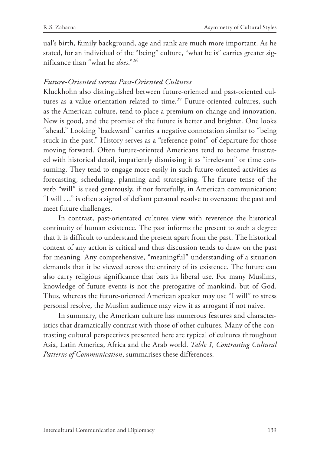ual's birth, family background, age and rank are much more important. As he stated, for an individual of the "being" culture, "what he is" carries greater significance than "what he *does*."26

## *Future-Oriented versus Past-Oriented Cultures*

Kluckhohn also distinguished between future-oriented and past-oriented cultures as a value orientation related to time.<sup>27</sup> Future-oriented cultures, such as the American culture, tend to place a premium on change and innovation. New is good, and the promise of the future is better and brighter. One looks "ahead." Looking "backward" carries a negative connotation similar to "being stuck in the past." History serves as a "reference point" of departure for those moving forward. Often future-oriented Americans tend to become frustrated with historical detail, impatiently dismissing it as "irrelevant" or time consuming. They tend to engage more easily in such future-oriented activities as forecasting, scheduling, planning and strategising. The future tense of the verb "will" is used generously, if not forcefully, in American communication: "I will …" is often a signal of defiant personal resolve to overcome the past and meet future challenges.

In contrast, past-orientated cultures view with reverence the historical continuity of human existence. The past informs the present to such a degree that it is difficult to understand the present apart from the past. The historical context of any action is critical and thus discussion tends to draw on the past for meaning. Any comprehensive, "meaningful" understanding of a situation demands that it be viewed across the entirety of its existence. The future can also carry religious significance that bars its liberal use. For many Muslims, knowledge of future events is not the prerogative of mankind, but of God. Thus, whereas the future-oriented American speaker may use "I will" to stress personal resolve, the Muslim audience may view it as arrogant if not naive.

In summary, the American culture has numerous features and characteristics that dramatically contrast with those of other cultures. Many of the contrasting cultural perspectives presented here are typical of cultures throughout Asia, Latin America, Africa and the Arab world. *Table 1*, *Contrasting Cultural Patterns of Communication*, summarises these differences.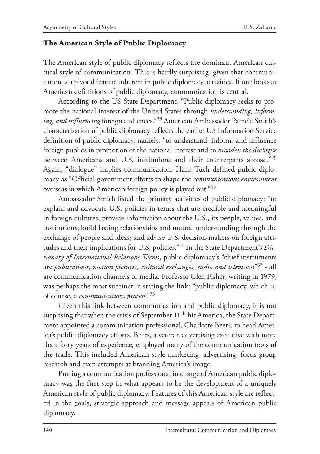#### **The American Style of Public Diplomacy**

The American style of public diplomacy reflects the dominant American cultural style of communication. This is hardly surprising, given that communication is a pivotal feature inherent in public diplomacy activities. If one looks at American definitions of public diplomacy, communication is central.

According to the US State Department, "Public diplomacy seeks to promote the national interest of the United States through *understanding, informing, and influencing* foreign audiences."28 American Ambassador Pamela Smith's characterisation of public diplomacy reflects the earlier US Information Service definition of public diplomacy, namely, "to understand, inform, and influence foreign publics in promotion of the national interest and to *broaden the dialogue* between Americans and U.S. institutions and their counterparts abroad."29 Again, "dialogue" implies communication. Hans Tuch defined public diplomacy as "Official government efforts to shape the *communications environment* overseas in which American foreign policy is played out."30

Ambassador Smith listed the primary activities of public diplomacy: "to explain and advocate U.S. policies in terms that are credible and meaningful in foreign cultures; provide information about the U.S., its people, values, and institutions; build lasting relationships and mutual understanding through the exchange of people and ideas; and advise U.S. decision-makers on foreign attitudes and their implications for U.S. policies."31 In the State Department's *Dictionary of International Relations Terms*, public diplomacy's "chief instruments are *publications, motion pictures, cultural exchanges, radio and television*"32 - all are communication channels or media. Professor Glen Fisher, writing in 1979, was perhaps the most succinct in stating the link: "public diplomacy, which is, of course, a *communications process*."33

Given this link between communication and public diplomacy, it is not surprising that when the crisis of September 11<sup>th</sup> hit America, the State Department appointed a communication professional, Charlotte Beers, to head America's public diplomacy efforts. Beers, a veteran advertising executive with more than forty years of experience, employed many of the communication tools of the trade. This included American style marketing, advertising, focus group research and even attempts at branding America's image.

Putting a communication professional in charge of American public diplomacy was the first step in what appears to be the development of a uniquely American style of public diplomacy. Features of this American style are reflected in the goals, strategic approach and message appeals of American public diplomacy.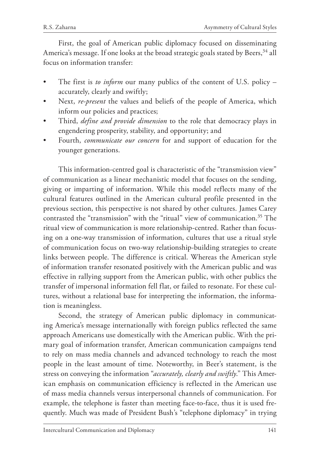First, the goal of American public diplomacy focused on disseminating America's message. If one looks at the broad strategic goals stated by Beers, <sup>34</sup> all focus on information transfer:

- The first is *to inform* our many publics of the content of U.S. policy accurately, clearly and swiftly;
- Next, *re-present* the values and beliefs of the people of America, which inform our policies and practices;
- Third, *define and provide dimension* to the role that democracy plays in engendering prosperity, stability, and opportunity; and
- Fourth, *communicate our concern* for and support of education for the younger generations.

This information-centred goal is characteristic of the "transmission view" of communication as a linear mechanistic model that focuses on the sending, giving or imparting of information. While this model reflects many of the cultural features outlined in the American cultural profile presented in the previous section, this perspective is not shared by other cultures. James Carey contrasted the "transmission" with the "ritual" view of communication.35 The ritual view of communication is more relationship-centred. Rather than focusing on a one-way transmission of information, cultures that use a ritual style of communication focus on two-way relationship-building strategies to create links between people. The difference is critical. Whereas the American style of information transfer resonated positively with the American public and was effective in rallying support from the American public, with other publics the transfer of impersonal information fell flat, or failed to resonate. For these cultures, without a relational base for interpreting the information, the information is meaningless.

Second, the strategy of American public diplomacy in communicating America's message internationally with foreign publics reflected the same approach Americans use domestically with the American public. With the primary goal of information transfer, American communication campaigns tend to rely on mass media channels and advanced technology to reach the most people in the least amount of time. Noteworthy, in Beer's statement, is the stress on conveying the information "*accurately, clearly and swiftly*." This American emphasis on communication efficiency is reflected in the American use of mass media channels versus interpersonal channels of communication. For example, the telephone is faster than meeting face-to-face, thus it is used frequently. Much was made of President Bush's "telephone diplomacy" in trying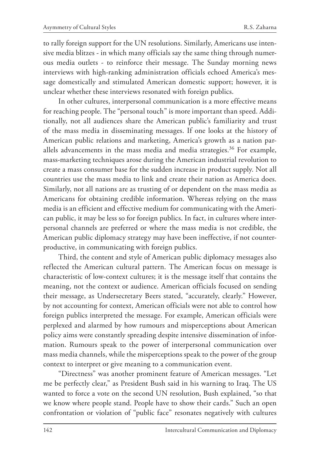to rally foreign support for the UN resolutions. Similarly, Americans use intensive media blitzes - in which many officials say the same thing through numerous media outlets - to reinforce their message. The Sunday morning news interviews with high-ranking administration officials echoed America's message domestically and stimulated American domestic support; however, it is unclear whether these interviews resonated with foreign publics.

In other cultures, interpersonal communication is a more effective means for reaching people. The "personal touch" is more important than speed. Additionally, not all audiences share the American public's familiarity and trust of the mass media in disseminating messages. If one looks at the history of American public relations and marketing, America's growth as a nation parallels advancements in the mass media and media strategies.<sup>36</sup> For example, mass-marketing techniques arose during the American industrial revolution to create a mass consumer base for the sudden increase in product supply. Not all countries use the mass media to link and create their nation as America does. Similarly, not all nations are as trusting of or dependent on the mass media as Americans for obtaining credible information. Whereas relying on the mass media is an efficient and effective medium for communicating with the American public, it may be less so for foreign publics. In fact, in cultures where interpersonal channels are preferred or where the mass media is not credible, the American public diplomacy strategy may have been ineffective, if not counterproductive, in communicating with foreign publics.

Third, the content and style of American public diplomacy messages also reflected the American cultural pattern. The American focus on message is characteristic of low-context cultures; it is the message itself that contains the meaning, not the context or audience. American officials focused on sending their message, as Undersecretary Beers stated, "accurately, clearly." However, by not accounting for context, American officials were not able to control how foreign publics interpreted the message. For example, American officials were perplexed and alarmed by how rumours and misperceptions about American policy aims were constantly spreading despite intensive dissemination of information. Rumours speak to the power of interpersonal communication over mass media channels, while the misperceptions speak to the power of the group context to interpret or give meaning to a communication event.

"Directness" was another prominent feature of American messages. "Let me be perfectly clear," as President Bush said in his warning to Iraq. The US wanted to force a vote on the second UN resolution, Bush explained, "so that we know where people stand. People have to show their cards." Such an open confrontation or violation of "public face" resonates negatively with cultures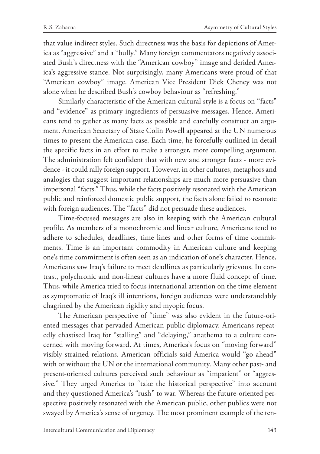that value indirect styles. Such directness was the basis for depictions of America as "aggressive" and a "bully." Many foreign commentators negatively associated Bush's directness with the "American cowboy" image and derided America's aggressive stance. Not surprisingly, many Americans were proud of that "American cowboy" image. American Vice President Dick Cheney was not alone when he described Bush's cowboy behaviour as "refreshing."

Similarly characteristic of the American cultural style is a focus on "facts" and "evidence" as primary ingredients of persuasive messages. Hence, Americans tend to gather as many facts as possible and carefully construct an argument. American Secretary of State Colin Powell appeared at the UN numerous times to present the American case. Each time, he forcefully outlined in detail the specific facts in an effort to make a stronger, more compelling argument. The administration felt confident that with new and stronger facts - more evidence - it could rally foreign support. However, in other cultures, metaphors and analogies that suggest important relationships are much more persuasive than impersonal "facts." Thus, while the facts positively resonated with the American public and reinforced domestic public support, the facts alone failed to resonate with foreign audiences. The "facts" did not persuade these audiences.

Time-focused messages are also in keeping with the American cultural profile. As members of a monochromic and linear culture, Americans tend to adhere to schedules, deadlines, time lines and other forms of time commitments. Time is an important commodity in American culture and keeping one's time commitment is often seen as an indication of one's character. Hence, Americans saw Iraq's failure to meet deadlines as particularly grievous. In contrast, polychronic and non-linear cultures have a more fluid concept of time. Thus, while America tried to focus international attention on the time element as symptomatic of Iraq's ill intentions, foreign audiences were understandably chagrined by the American rigidity and myopic focus.

The American perspective of "time" was also evident in the future-oriented messages that pervaded American public diplomacy. Americans repeatedly chastised Iraq for "stalling" and "delaying," anathema to a culture concerned with moving forward. At times, America's focus on "moving forward" visibly strained relations. American officials said America would "go ahead" with or without the UN or the international community. Many other past- and present-oriented cultures perceived such behaviour as "impatient" or "aggressive." They urged America to "take the historical perspective" into account and they questioned America's "rush" to war. Whereas the future-oriented perspective positively resonated with the American public, other publics were not swayed by America's sense of urgency. The most prominent example of the ten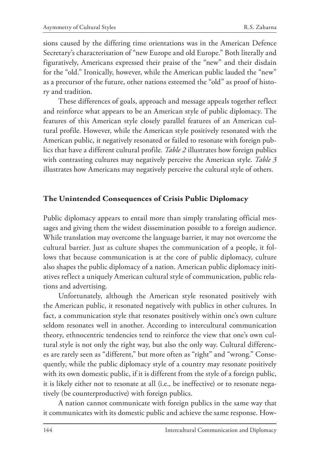sions caused by the differing time orientations was in the American Defence Secretary's characterisation of "new Europe and old Europe." Both literally and figuratively, Americans expressed their praise of the "new" and their disdain for the "old." Ironically, however, while the American public lauded the "new" as a precursor of the future, other nations esteemed the "old" as proof of history and tradition.

These differences of goals, approach and message appeals together reflect and reinforce what appears to be an American style of public diplomacy. The features of this American style closely parallel features of an American cultural profile. However, while the American style positively resonated with the American public, it negatively resonated or failed to resonate with foreign publics that have a different cultural profile. *Table 2* illustrates how foreign publics with contrasting cultures may negatively perceive the American style. *Table 3* illustrates how Americans may negatively perceive the cultural style of others.

# **The Unintended Consequences of Crisis Public Diplomacy**

Public diplomacy appears to entail more than simply translating official messages and giving them the widest dissemination possible to a foreign audience. While translation may overcome the language barrier, it may not overcome the cultural barrier. Just as culture shapes the communication of a people, it follows that because communication is at the core of public diplomacy, culture also shapes the public diplomacy of a nation. American public diplomacy initiatives reflect a uniquely American cultural style of communication, public relations and advertising.

Unfortunately, although the American style resonated positively with the American public, it resonated negatively with publics in other cultures. In fact, a communication style that resonates positively within one's own culture seldom resonates well in another. According to intercultural communication theory, ethnocentric tendencies tend to reinforce the view that one's own cultural style is not only the right way, but also the only way. Cultural differences are rarely seen as "different," but more often as "right" and "wrong." Consequently, while the public diplomacy style of a country may resonate positively with its own domestic public, if it is different from the style of a foreign public, it is likely either not to resonate at all (i.e., be ineffective) or to resonate negatively (be counterproductive) with foreign publics.

A nation cannot communicate with foreign publics in the same way that it communicates with its domestic public and achieve the same response. How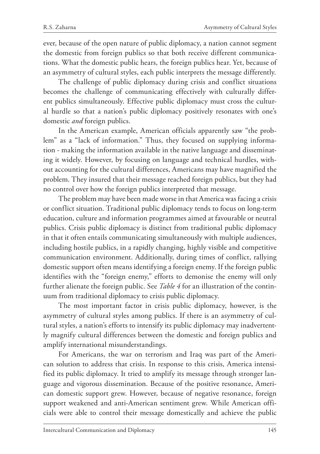ever, because of the open nature of public diplomacy, a nation cannot segment the domestic from foreign publics so that both receive different communications. What the domestic public hears, the foreign publics hear. Yet, because of an asymmetry of cultural styles, each public interprets the message differently.

The challenge of public diplomacy during crisis and conflict situations becomes the challenge of communicating effectively with culturally different publics simultaneously. Effective public diplomacy must cross the cultural hurdle so that a nation's public diplomacy positively resonates with one's domestic *and* foreign publics.

In the American example, American officials apparently saw "the problem" as a "lack of information." Thus, they focused on supplying information - making the information available in the native language and disseminating it widely. However, by focusing on language and technical hurdles, without accounting for the cultural differences, Americans may have magnified the problem. They insured that their message reached foreign publics, but they had no control over how the foreign publics interpreted that message.

The problem may have been made worse in that America was facing a crisis or conflict situation. Traditional public diplomacy tends to focus on long-term education, culture and information programmes aimed at favourable or neutral publics. Crisis public diplomacy is distinct from traditional public diplomacy in that it often entails communicating simultaneously with multiple audiences, including hostile publics, in a rapidly changing, highly visible and competitive communication environment. Additionally, during times of conflict, rallying domestic support often means identifying a foreign enemy. If the foreign public identifies with the "foreign enemy," efforts to demonise the enemy will only further alienate the foreign public. See *Table 4* for an illustration of the continuum from traditional diplomacy to crisis public diplomacy.

The most important factor in crisis public diplomacy, however, is the asymmetry of cultural styles among publics. If there is an asymmetry of cultural styles, a nation's efforts to intensify its public diplomacy may inadvertently magnify cultural differences between the domestic and foreign publics and amplify international misunderstandings.

For Americans, the war on terrorism and Iraq was part of the American solution to address that crisis. In response to this crisis, America intensified its public diplomacy. It tried to amplify its message through stronger language and vigorous dissemination. Because of the positive resonance, American domestic support grew. However, because of negative resonance, foreign support weakened and anti-American sentiment grew. While American officials were able to control their message domestically and achieve the public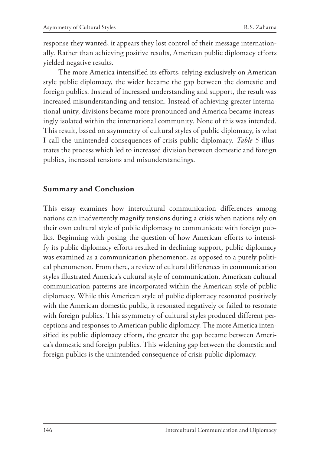response they wanted, it appears they lost control of their message internationally. Rather than achieving positive results, American public diplomacy efforts yielded negative results.

The more America intensified its efforts, relying exclusively on American style public diplomacy, the wider became the gap between the domestic and foreign publics. Instead of increased understanding and support, the result was increased misunderstanding and tension. Instead of achieving greater international unity, divisions became more pronounced and America became increasingly isolated within the international community. None of this was intended. This result, based on asymmetry of cultural styles of public diplomacy, is what I call the unintended consequences of crisis public diplomacy. *Table 5* illustrates the process which led to increased division between domestic and foreign publics, increased tensions and misunderstandings.

# **Summary and Conclusion**

This essay examines how intercultural communication differences among nations can inadvertently magnify tensions during a crisis when nations rely on their own cultural style of public diplomacy to communicate with foreign publics. Beginning with posing the question of how American efforts to intensify its public diplomacy efforts resulted in declining support, public diplomacy was examined as a communication phenomenon, as opposed to a purely political phenomenon. From there, a review of cultural differences in communication styles illustrated America's cultural style of communication. American cultural communication patterns are incorporated within the American style of public diplomacy. While this American style of public diplomacy resonated positively with the American domestic public, it resonated negatively or failed to resonate with foreign publics. This asymmetry of cultural styles produced different perceptions and responses to American public diplomacy. The more America intensified its public diplomacy efforts, the greater the gap became between America's domestic and foreign publics. This widening gap between the domestic and foreign publics is the unintended consequence of crisis public diplomacy.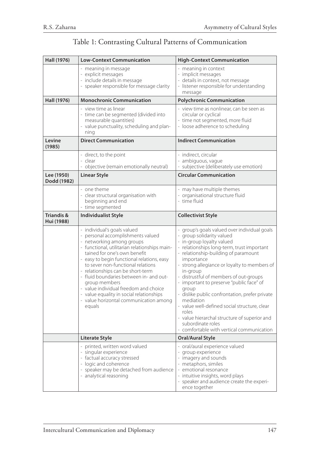# Table 1: Contrasting Cultural Patterns of Communication

| Hall (1976)                         | <b>Low-Context Communication</b>                                                                                                                                                                                                                                                                                                                                                                                                                                                                            | <b>High-Context Communication</b>                                                                                                                                                                                                                                                                                                                                                                                                                                                                                                                                                                               |
|-------------------------------------|-------------------------------------------------------------------------------------------------------------------------------------------------------------------------------------------------------------------------------------------------------------------------------------------------------------------------------------------------------------------------------------------------------------------------------------------------------------------------------------------------------------|-----------------------------------------------------------------------------------------------------------------------------------------------------------------------------------------------------------------------------------------------------------------------------------------------------------------------------------------------------------------------------------------------------------------------------------------------------------------------------------------------------------------------------------------------------------------------------------------------------------------|
|                                     | - meaning in message<br>- explicit messages<br>- include details in message<br>- speaker responsible for message clarity                                                                                                                                                                                                                                                                                                                                                                                    | - meaning in context<br>- implicit messages<br>- details in context, not message<br>- listener responsible for understanding<br>message                                                                                                                                                                                                                                                                                                                                                                                                                                                                         |
| Hall (1976)                         | <b>Monochronic Communication</b>                                                                                                                                                                                                                                                                                                                                                                                                                                                                            | <b>Polychronic Communication</b>                                                                                                                                                                                                                                                                                                                                                                                                                                                                                                                                                                                |
|                                     | - view time as linear<br>- time can be segmented (divided into<br>measurable quantities)<br>value punctuality, scheduling and plan-<br>ning                                                                                                                                                                                                                                                                                                                                                                 | - view time as nonlinear, can be seen as<br>circular or cyclical<br>- time not segmented, more fluid<br>- loose adherence to scheduling                                                                                                                                                                                                                                                                                                                                                                                                                                                                         |
| Levine<br>(1985)                    | <b>Direct Communication</b>                                                                                                                                                                                                                                                                                                                                                                                                                                                                                 | <b>Indirect Communication</b>                                                                                                                                                                                                                                                                                                                                                                                                                                                                                                                                                                                   |
|                                     | - direct, to the point<br>- clear<br>objective (remain emotionally neutral)                                                                                                                                                                                                                                                                                                                                                                                                                                 | - indirect, circular<br>- ambiguous, vague<br>subjective (deliberately use emotion)                                                                                                                                                                                                                                                                                                                                                                                                                                                                                                                             |
| Lee (1950)<br>Dodd (1982)           | <b>Linear Style</b>                                                                                                                                                                                                                                                                                                                                                                                                                                                                                         | <b>Circular Communication</b>                                                                                                                                                                                                                                                                                                                                                                                                                                                                                                                                                                                   |
|                                     | - one theme<br>- clear structural organisation with<br>beginning and end<br>time segmented                                                                                                                                                                                                                                                                                                                                                                                                                  | - may have multiple themes<br>- organisational structure fluid<br>- time fluid                                                                                                                                                                                                                                                                                                                                                                                                                                                                                                                                  |
| <b>Triandis &amp;</b><br>Hui (1988) | <b>Individualist Style</b>                                                                                                                                                                                                                                                                                                                                                                                                                                                                                  | <b>Collectivist Style</b>                                                                                                                                                                                                                                                                                                                                                                                                                                                                                                                                                                                       |
|                                     | - individual's goals valued<br>- personal accomplishments valued<br>- networking among groups<br>- functional, utilitarian relationships main-<br>tained for one's own benefit<br>- easy to begin functional relations, easy<br>to sever non-functional relations<br>- relationships can be short-term<br>- fluid boundaries between in- and out-<br>group members<br>- value individual freedom and choice<br>- value equality in social relationships<br>- value horizontal communication among<br>equals | - group's goals valued over individual goals<br>- group solidarity valued<br>- in-group loyalty valued<br>- relationships long-term, trust important<br>- relationship-building of paramount<br>importance<br>- strong allegiance or loyalty to members of<br>in-group<br>- distrustful of members of out-groups<br>- important to preserve "public face" of<br>group<br>- dislike public confrontation, prefer private<br>mediation<br>- value well-defined social structure, clear<br>roles<br>- value hierarchal structure of superior and<br>subordinate roles<br>- comfortable with vertical communication |
|                                     | <b>Literate Style</b>                                                                                                                                                                                                                                                                                                                                                                                                                                                                                       | Oral/Aural Style                                                                                                                                                                                                                                                                                                                                                                                                                                                                                                                                                                                                |
|                                     | - printed, written word valued<br>- singular experience<br>- factual accuracy stressed<br>- logic and coherence<br>- speaker may be detached from audience<br>- analytical reasoning                                                                                                                                                                                                                                                                                                                        | - oral/aural experience valued<br>- group experience<br>- imagery and sounds<br>- metaphors, similes<br>- emotional resonance<br>- intuitive insights, word plays<br>- speaker and audience create the experi-<br>ence together                                                                                                                                                                                                                                                                                                                                                                                 |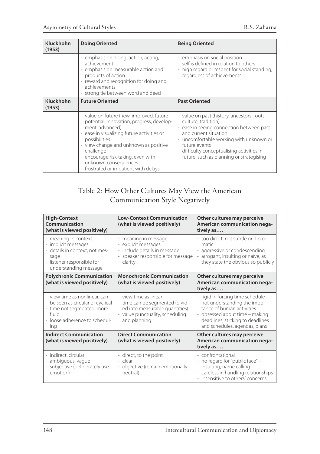| Kluckhohn<br>(1953) | <b>Doing Oriented</b>                                                                                                                                                                                                                                                                                                              | <b>Being Oriented</b>                                                                                                                                                                                                                                                                                                   |
|---------------------|------------------------------------------------------------------------------------------------------------------------------------------------------------------------------------------------------------------------------------------------------------------------------------------------------------------------------------|-------------------------------------------------------------------------------------------------------------------------------------------------------------------------------------------------------------------------------------------------------------------------------------------------------------------------|
|                     | - emphasis on doing, action, acting,<br>achievement<br>emphasis on measurable action and<br>products of action<br>- reward and recognition for doing and<br>achievements<br>- strong tie between word and deed                                                                                                                     | - emphasis on social position<br>- self is defined in relation to others<br>high regard or respect for social standing,<br>regardless of achievements                                                                                                                                                                   |
| Kluckhohn<br>(1953) | <b>Future Oriented</b>                                                                                                                                                                                                                                                                                                             | <b>Past Oriented</b>                                                                                                                                                                                                                                                                                                    |
|                     | - value on future (new, improved, future<br>potential, innovation, progress, develop-<br>ment, advanced)<br>- ease in visualizing future activities or<br>possibilities<br>- view change and unknown as positive<br>challenge<br>- encourage risk-taking, even with<br>unknown consequences<br>frustrated or impatient with delays | - value on past (history, ancestors, roots,<br>culture, tradition)<br>- ease in seeing connection between past<br>and current situation<br>- uncomfortable working with unknown or<br>future events<br>difficulty conceptualising activities in<br>$\overline{\phantom{a}}$<br>future, such as planning or strategising |

# Table 2: How Other Cultures May View the American Communication Style Negatively

| <b>High-Context</b><br>Communication<br>(what is viewed positively)                                                                             | <b>Low-Context Communication</b><br>(what is viewed positively)                                                                               | Other cultures may perceive<br>American communication nega-<br>tively as                                                                                                                               |  |
|-------------------------------------------------------------------------------------------------------------------------------------------------|-----------------------------------------------------------------------------------------------------------------------------------------------|--------------------------------------------------------------------------------------------------------------------------------------------------------------------------------------------------------|--|
| - meaning in context<br>- implicit messages<br>- details in context, not mes-<br>sage<br>- listener responsible for<br>understanding message    | - meaning in message<br>explicit messages<br>- include details in message<br>- speaker responsible for message<br>clarity                     | - too direct, not subtle or diplo-<br>matic<br>- aggressive or condescending<br>arrogant, insulting or naïve, as<br>they state the obvious so publicly                                                 |  |
| <b>Polychronic Communication</b><br>(what is viewed positively)                                                                                 | <b>Monochronic Communication</b><br>(what is viewed positively)                                                                               | Other cultures may perceive<br>American communication nega-<br>tively as                                                                                                                               |  |
| - view time as nonlinear, can<br>be seen as circular or cyclical<br>- time not segmented, more<br>fluid<br>- loose adherence to schedul-<br>ing | - view time as linear<br>- time can be segmented (divid-<br>ed into measurable quantities)<br>- value punctuality, scheduling<br>and planning | - rigid in forcing time schedule<br>- not understanding the impor-<br>tance of human activities<br>- obsessed about time - making<br>deadlines, sticking to deadlines<br>and schedules, agendas, plans |  |
| <b>Indirect Communication</b><br>(what is viewed positively)                                                                                    | <b>Direct Communication</b><br>(what is viewed positively)                                                                                    | Other cultures may perceive<br>American communication nega-<br>tively as                                                                                                                               |  |
| - indirect, circular<br>- ambiguous, vague<br>subjective (deliberately use<br>emotion)                                                          | - direct, to the point<br>- clear<br>- objective (remain emotionally<br>neutral)                                                              | - confrontational<br>- no regard for "public face" -<br>insulting, name calling<br>- careless in handling relationships<br>- insensitive to others' concerns                                           |  |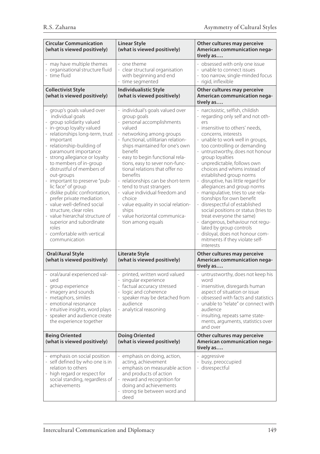| <b>Circular Communication</b><br>(what is viewed positively)                                                                                                                                                                                                                                                                                                                                                                                                                                                                                                                                                                   | <b>Linear Style</b><br>(what is viewed positively)                                                                                                                                                                                                                                                                                                                                                                                                                                                                                              | Other cultures may perceive<br>American communication nega-<br>tively as                                                                                                                                                                                                                                                                                                                                                                                                                                                                                                                                                                                                                                                                                |  |
|--------------------------------------------------------------------------------------------------------------------------------------------------------------------------------------------------------------------------------------------------------------------------------------------------------------------------------------------------------------------------------------------------------------------------------------------------------------------------------------------------------------------------------------------------------------------------------------------------------------------------------|-------------------------------------------------------------------------------------------------------------------------------------------------------------------------------------------------------------------------------------------------------------------------------------------------------------------------------------------------------------------------------------------------------------------------------------------------------------------------------------------------------------------------------------------------|---------------------------------------------------------------------------------------------------------------------------------------------------------------------------------------------------------------------------------------------------------------------------------------------------------------------------------------------------------------------------------------------------------------------------------------------------------------------------------------------------------------------------------------------------------------------------------------------------------------------------------------------------------------------------------------------------------------------------------------------------------|--|
| - may have multiple themes<br>- organisational structure fluid<br>- time fluid                                                                                                                                                                                                                                                                                                                                                                                                                                                                                                                                                 | - one theme<br>$\overline{\phantom{a}}$<br>clear structural organisation<br>with beginning and end<br>- time segmented                                                                                                                                                                                                                                                                                                                                                                                                                          | - obsessed with only one issue<br>unable to connect issues<br>too narrow, single-minded focus<br>rigid, inflexible                                                                                                                                                                                                                                                                                                                                                                                                                                                                                                                                                                                                                                      |  |
| <b>Collectivist Style</b><br>(what is viewed positively)                                                                                                                                                                                                                                                                                                                                                                                                                                                                                                                                                                       | <b>Individualistic Style</b><br>(what is viewed positively)                                                                                                                                                                                                                                                                                                                                                                                                                                                                                     | Other cultures may perceive<br>American communication nega-<br>tively as                                                                                                                                                                                                                                                                                                                                                                                                                                                                                                                                                                                                                                                                                |  |
| - group's goals valued over<br>individual goals<br>- group solidarity valued<br>- in-group loyalty valued<br>- relationships long-term, trust<br>important<br>- relationship-building of<br>paramount importance<br>strong allegiance or loyalty<br>to members of in-group<br>- distrustful of members of<br>out-groups<br>- important to preserve "pub-<br>lic face" of group<br>- dislike public confrontation,<br>prefer private mediation<br>- value well-defined social<br>structure, clear roles<br>- value hierarchal structure of<br>superior and subordinate<br>roles<br>- comfortable with vertical<br>communication | - individual's goals valued over<br>group goals<br>personal accomplishments<br>valued<br>- networking among groups<br>- functional, utilitarian relation-<br>ships maintained for one's own<br>benefit<br>- easy to begin functional rela-<br>tions, easy to sever non-func-<br>tional relations that offer no<br>benefits<br>- relationships can be short-term<br>- tend to trust strangers<br>- value individual freedom and<br>choice<br>- value equality in social relation-<br>ships<br>- value horizontal communica-<br>tion among equals | - narcissistic, selfish, childish<br>- regarding only self and not oth-<br>$\text{pr}$<br>insensitive to others' needs,<br>concerns, interests<br>unable to work well in groups,<br>too controlling or demanding<br>untrustworthy, does not honour<br>group loyalties<br>unpredictable, follows own<br>choices and whims instead of<br>established group norms<br>disruptive, has little regard for<br>allegiances and group norms<br>manipulative, tries to use rela-<br>tionships for own benefit<br>disrespectful of established<br>social positions or status (tries to<br>treat everyone the same)<br>- dangerous, behaviour not regu-<br>lated by group controls<br>disloyal, does not honour com-<br>mitments if they violate self-<br>interests |  |
| Oral/Aural Style<br>(what is viewed positively)                                                                                                                                                                                                                                                                                                                                                                                                                                                                                                                                                                                | <b>Literate Style</b><br>(what is viewed positively)                                                                                                                                                                                                                                                                                                                                                                                                                                                                                            | Other cultures may perceive<br>American communication nega-<br>tively as                                                                                                                                                                                                                                                                                                                                                                                                                                                                                                                                                                                                                                                                                |  |
| - oral/aural experienced val-<br>ued<br>- group experience<br>- imagery and sounds<br>- metaphors, similes<br>- emotional resonance<br>- intuitive insights, word plays<br>- speaker and audience create<br>the experience together                                                                                                                                                                                                                                                                                                                                                                                            | - printed, written word valued<br>- singular experience<br>- factual accuracy stressed<br>- logic and coherence<br>speaker may be detached from<br>audience<br>- analytical reasoning                                                                                                                                                                                                                                                                                                                                                           | - untrustworthy, does not keep his<br>word<br>insensitive, disregards human<br>aspect of situation or issue<br>obsessed with facts and statistics<br>- unable to "relate" or connect with<br>audience<br>- insulting, repeats same state-<br>ments, arguments, statistics over<br>and over                                                                                                                                                                                                                                                                                                                                                                                                                                                              |  |
| <b>Being Oriented</b><br>(what is viewed positively)                                                                                                                                                                                                                                                                                                                                                                                                                                                                                                                                                                           | <b>Doing Oriented</b><br>(what is viewed positively)                                                                                                                                                                                                                                                                                                                                                                                                                                                                                            | Other cultures may perceive<br>American communication nega-<br>tively as                                                                                                                                                                                                                                                                                                                                                                                                                                                                                                                                                                                                                                                                                |  |
| - emphasis on social position<br>- self defined by who one is in<br>relation to others<br>- high regard or respect for<br>social standing, regardless of<br>achievements                                                                                                                                                                                                                                                                                                                                                                                                                                                       | emphasis on doing, action,<br>acting, achievement<br>- emphasis on measurable action<br>and products of action<br>reward and recognition for<br>doing and achievements<br>strong tie between word and<br>deed                                                                                                                                                                                                                                                                                                                                   | - aggressive<br>- busy, preoccupied<br>- disrespectful                                                                                                                                                                                                                                                                                                                                                                                                                                                                                                                                                                                                                                                                                                  |  |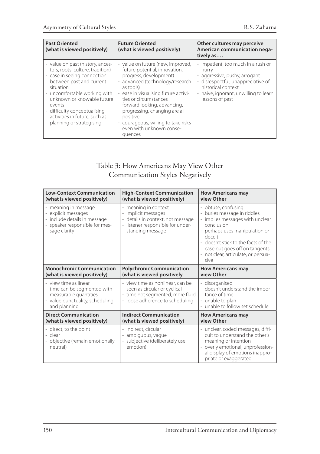| <b>Past Oriented</b><br>(what is viewed positively)                                                                                                                                                                                                                                                             | <b>Future Oriented</b><br>(what is viewed positively)                                                                                                                                                                                                                                                                                                                                                                         | Other cultures may perceive<br>American communication nega-<br>tively as                                                                                                                                                 |
|-----------------------------------------------------------------------------------------------------------------------------------------------------------------------------------------------------------------------------------------------------------------------------------------------------------------|-------------------------------------------------------------------------------------------------------------------------------------------------------------------------------------------------------------------------------------------------------------------------------------------------------------------------------------------------------------------------------------------------------------------------------|--------------------------------------------------------------------------------------------------------------------------------------------------------------------------------------------------------------------------|
| - value on past (history, ances-<br>tors, roots, culture, tradition)<br>- ease in seeing connection<br>between past and current<br>situation<br>- uncomfortable working with<br>unknown or knowable future<br>events<br>difficulty conceptualising<br>activities in future, such as<br>planning or strategising | - value on future (new, improved,<br>future potential, innovation,<br>progress, development)<br>- advanced (technology/research<br>as tools)<br>ease in visualising future activi-<br>$\overline{\phantom{a}}$<br>ties or circumstances<br>- forward looking, advancing,<br>progressing, changing are all<br>positive<br>courageous, willing to take risks<br>$\overline{\phantom{a}}$<br>even with unknown conse-<br>quences | impatient, too much in a rush or<br>hurry<br>aggressive, pushy, arrogant<br>$\overline{\phantom{a}}$<br>disrespectful, unappreciative of<br>historical context<br>naive, ignorant, unwilling to learn<br>lessons of past |

# Table 3: How Americans May View Other Communication Styles Negatively

| <b>Low-Context Communication</b>                                                                                                  | <b>High-Context Communication</b>                                                                                                       | <b>How Americans may</b>                                                                                                                                                                                                                                             |  |
|-----------------------------------------------------------------------------------------------------------------------------------|-----------------------------------------------------------------------------------------------------------------------------------------|----------------------------------------------------------------------------------------------------------------------------------------------------------------------------------------------------------------------------------------------------------------------|--|
| (what is viewed positively)                                                                                                       | (what is viewed positively)                                                                                                             | view Other                                                                                                                                                                                                                                                           |  |
| - meaning in message<br>- explicit messages<br>- include details in message<br>speaker responsible for mes-<br>sage clarity       | - meaning in context<br>- implicit messages<br>details in context, not message<br>- listener responsible for under-<br>standing message | - obtuse, confusing<br>buries message in riddles<br>- implies messages with unclear<br>conclusion<br>- perhaps uses manipulation or<br>deceit<br>- doesn't stick to the facts of the<br>case but goes off on tangents<br>- not clear, articulate, or persua-<br>sive |  |
| <b>Monochronic Communication</b>                                                                                                  | <b>Polychronic Communication</b>                                                                                                        | <b>How Americans may</b>                                                                                                                                                                                                                                             |  |
| (what is viewed positively)                                                                                                       | (what is viewed positively                                                                                                              | view Other                                                                                                                                                                                                                                                           |  |
| - view time as linear<br>- time can be segmented with<br>measurable quantities<br>- value punctuality, scheduling<br>and planning | - view time as nonlinear, can be<br>seen as circular or cyclical<br>- time not segmented, more fluid<br>- loose adherence to scheduling | - disorganised<br>- doesn't understand the impor-<br>tance of time<br>- unable to plan<br>- unable to follow set schedule                                                                                                                                            |  |
| <b>Direct Communication</b>                                                                                                       | <b>Indirect Communication</b>                                                                                                           | <b>How Americans may</b>                                                                                                                                                                                                                                             |  |
| (what is viewed positively)                                                                                                       | (what is viewed positively)                                                                                                             | view Other                                                                                                                                                                                                                                                           |  |
| - direct, to the point<br>- clear<br>- objective (remain emotionally<br>neutral)                                                  | - indirect, circular<br>- ambiguous, vague<br>subjective (deliberately use<br>emotion)                                                  | - unclear, coded messages, diffi-<br>cult to understand the other's<br>meaning or intention<br>- overly emotional, unprofession-<br>al display of emotions inappro-<br>priate or exaggerated                                                                         |  |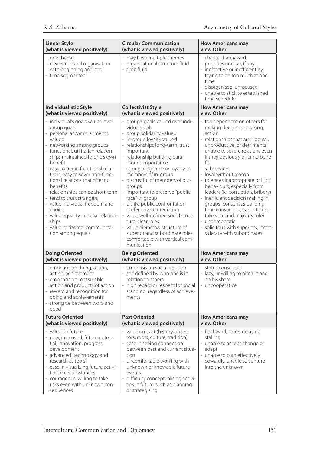| <b>Linear Style</b>                                                                                                                                                                                                                                                                                                                                                                                                                                                                                                                              | <b>Circular Communication</b>                                                                                                                                                                                                                                                                                                                                                                                                                                                                                                                                                                                                     | <b>How Americans may</b>                                                                                                                                                                                                                                                                                                                                                                                                                                                                                                                                                                                    |
|--------------------------------------------------------------------------------------------------------------------------------------------------------------------------------------------------------------------------------------------------------------------------------------------------------------------------------------------------------------------------------------------------------------------------------------------------------------------------------------------------------------------------------------------------|-----------------------------------------------------------------------------------------------------------------------------------------------------------------------------------------------------------------------------------------------------------------------------------------------------------------------------------------------------------------------------------------------------------------------------------------------------------------------------------------------------------------------------------------------------------------------------------------------------------------------------------|-------------------------------------------------------------------------------------------------------------------------------------------------------------------------------------------------------------------------------------------------------------------------------------------------------------------------------------------------------------------------------------------------------------------------------------------------------------------------------------------------------------------------------------------------------------------------------------------------------------|
| (what is viewed positively)                                                                                                                                                                                                                                                                                                                                                                                                                                                                                                                      | (what is viewed positively)                                                                                                                                                                                                                                                                                                                                                                                                                                                                                                                                                                                                       | view Other                                                                                                                                                                                                                                                                                                                                                                                                                                                                                                                                                                                                  |
| - one theme<br>- clear structural organisation<br>with beginning and end<br>- time segmented                                                                                                                                                                                                                                                                                                                                                                                                                                                     | - may have multiple themes<br>- organisational structure fluid<br>- time fluid                                                                                                                                                                                                                                                                                                                                                                                                                                                                                                                                                    | - chaotic, haphazard<br>- priorities unclear, if any<br>- ineffective or inefficient by<br>trying to do too much at one<br>time<br>- disorganised, unfocused<br>- unable to stick to established<br>time schedule                                                                                                                                                                                                                                                                                                                                                                                           |
| <b>Individualistic Style</b>                                                                                                                                                                                                                                                                                                                                                                                                                                                                                                                     | <b>Collectivist Style</b>                                                                                                                                                                                                                                                                                                                                                                                                                                                                                                                                                                                                         | <b>How Americans may</b>                                                                                                                                                                                                                                                                                                                                                                                                                                                                                                                                                                                    |
| (what is viewed positively)                                                                                                                                                                                                                                                                                                                                                                                                                                                                                                                      | (what is viewed positively)                                                                                                                                                                                                                                                                                                                                                                                                                                                                                                                                                                                                       | view Other                                                                                                                                                                                                                                                                                                                                                                                                                                                                                                                                                                                                  |
| - individual's goals valued over<br>group goals<br>- personal accomplishments<br>valued<br>- networking among groups<br>- functional, utilitarian relation-<br>ships maintained forone's own<br>benefit<br>- easy to begin functional rela-<br>tions, easy to sever non-func-<br>tional relations that offer no<br>benefits<br>- relationships can be short-term<br>- tend to trust strangers<br>- value individual freedom and<br>choice<br>- value equality in social relation-<br>ships<br>- value horizontal communica-<br>tion among equals | group's goals valued over indi-<br>vidual goals<br>group solidarity valued<br>÷,<br>- in-group loyalty valued<br>- relationships long-term, trust<br>important<br>- relationship building para-<br>mount importance<br>- strong allegiance or loyalty to<br>members of in-group<br>- distrustful of members of out-<br>groups<br>- important to preserve "public<br>face" of group<br>- dislike public confrontation,<br>prefer private mediation<br>- value well-defined social struc-<br>ture, clear roles<br>value hierarchal structure of<br>superior and subordinate roles<br>- comfortable with vertical com-<br>munication | - too dependent on others for<br>making decisions or taking<br>action<br>- relationships that are illogical,<br>unproductive, or detrimental<br>unable to severe relations even<br>if they obviously offer no bene-<br>fit<br>- subservient<br>- loyal without reason<br>- tolerates inappropriate or illicit<br>behaviours, especially from<br>leaders (ie, corruption, bribery)<br>- inefficient decision making in<br>groups (consensus building<br>time consuming, easier to use<br>take vote and majority rule)<br>- undemocratic<br>- solicitous with superiors, incon-<br>siderate with subordinates |
| <b>Doing Oriented</b>                                                                                                                                                                                                                                                                                                                                                                                                                                                                                                                            | <b>Being Oriented</b>                                                                                                                                                                                                                                                                                                                                                                                                                                                                                                                                                                                                             | <b>How Americans may</b>                                                                                                                                                                                                                                                                                                                                                                                                                                                                                                                                                                                    |
| (what is viewed positively)                                                                                                                                                                                                                                                                                                                                                                                                                                                                                                                      | (what is viewed positively)                                                                                                                                                                                                                                                                                                                                                                                                                                                                                                                                                                                                       | view Other                                                                                                                                                                                                                                                                                                                                                                                                                                                                                                                                                                                                  |
| - emphasis on doing, action,<br>acting, achievement<br>emphasis on measurable<br>action and products of action<br>- reward and recognition for<br>doing and achievements<br>strong tie between word and<br>deed                                                                                                                                                                                                                                                                                                                                  | - emphasis on social position<br>- self defined by who one is in<br>relation to others<br>- high regard or respect for social<br>standing, regardless of achieve-<br>ments                                                                                                                                                                                                                                                                                                                                                                                                                                                        | - status conscious<br>- lazy, unwilling to pitch in and<br>do his share<br>- uncooperative                                                                                                                                                                                                                                                                                                                                                                                                                                                                                                                  |
| <b>Future Oriented</b>                                                                                                                                                                                                                                                                                                                                                                                                                                                                                                                           | <b>Past Oriented</b>                                                                                                                                                                                                                                                                                                                                                                                                                                                                                                                                                                                                              | <b>How Americans may</b>                                                                                                                                                                                                                                                                                                                                                                                                                                                                                                                                                                                    |
| (what is viewed positively)                                                                                                                                                                                                                                                                                                                                                                                                                                                                                                                      | (what is viewed positively)                                                                                                                                                                                                                                                                                                                                                                                                                                                                                                                                                                                                       | view Other                                                                                                                                                                                                                                                                                                                                                                                                                                                                                                                                                                                                  |
| - value on future<br>- new, improved, future poten-<br>tial, innovation, progress,<br>development<br>- advanced (technology and<br>research as tools)<br>- ease in visualizing future activi-<br>ties or circumstances<br>- courageous, willing to take<br>risks even with unknown con-<br>sequences                                                                                                                                                                                                                                             | - value on past (history, ances-<br>tors, roots, culture, tradition)<br>- ease in seeing connection<br>between past and current situa-<br>tion<br>- uncomfortable working with<br>unknown or knowable future<br>events<br>- difficulty conceptualising activi-<br>ties in future, such as planning<br>or strategising                                                                                                                                                                                                                                                                                                             | - backward, stuck, delaying,<br>stalling<br>- unable to accept change or<br>adapt<br>- unable to plan effectively<br>- cowardly, unable to venture<br>into the unknown                                                                                                                                                                                                                                                                                                                                                                                                                                      |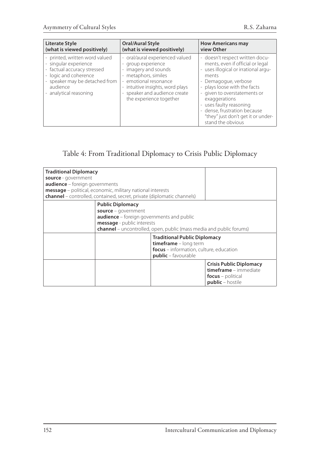| Literate Style                                                                                                                                                                        | <b>Oral/Aural Style</b>                                                                                                                                                                                                        | <b>How Americans may</b>                                                                                                                                                                                                                                                                                                                            |
|---------------------------------------------------------------------------------------------------------------------------------------------------------------------------------------|--------------------------------------------------------------------------------------------------------------------------------------------------------------------------------------------------------------------------------|-----------------------------------------------------------------------------------------------------------------------------------------------------------------------------------------------------------------------------------------------------------------------------------------------------------------------------------------------------|
| (what is viewed positively)                                                                                                                                                           | (what is viewed positively)                                                                                                                                                                                                    | view Other                                                                                                                                                                                                                                                                                                                                          |
| printed, written word valued<br>- singular experience<br>- factual accuracy stressed<br>- logic and coherence<br>- speaker may be detached from<br>audience<br>- analytical reasoning | - oral/aural experienced valued<br>- group experience<br>- imagery and sounds<br>- metaphors, similes<br>- emotional resonance<br>- intuitive insights, word plays<br>- speaker and audience create<br>the experience together | - doesn't respect written docu-<br>ments, even if official or legal<br>- uses illogical or irrational argu-<br>ments<br>- Demagogue, verbose<br>- plays loose with the facts<br>- given to overstatements or<br>exaggerations<br>- uses faulty reasoning<br>- dense, frustration because<br>"they" just don't get it or under-<br>stand the obvious |

# Table 4: From Traditional Diplomacy to Crisis Public Diplomacy

| <b>Traditional Diplomacy</b><br>source - government<br><b>audience</b> - foreign governments                                                                                                                   | message - political, economic, military national interests<br>channel - controlled, contained, secret, private (diplomatic channels) |                                                                                                                                |                                                                                                         |
|----------------------------------------------------------------------------------------------------------------------------------------------------------------------------------------------------------------|--------------------------------------------------------------------------------------------------------------------------------------|--------------------------------------------------------------------------------------------------------------------------------|---------------------------------------------------------------------------------------------------------|
| <b>Public Diplomacy</b><br>source - government<br><b>audience</b> – foreign governments and public<br>message - public interests<br><b>channel</b> – uncontrolled, open, public (mass media and public forums) |                                                                                                                                      |                                                                                                                                |                                                                                                         |
|                                                                                                                                                                                                                |                                                                                                                                      | <b>Traditional Public Diplomacy</b><br>timeframe - long term<br>focus - information, culture, education<br>public - favourable |                                                                                                         |
|                                                                                                                                                                                                                |                                                                                                                                      |                                                                                                                                | <b>Crisis Public Diplomacy</b><br>timeframe - immediate<br><b>focus</b> – political<br>public - hostile |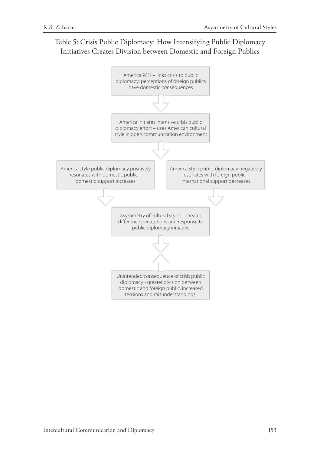# Table 5: Crisis Public Diplomacy: How Intensifying Public Diplomacy Initiatives Creates Division between Domestic and Foreign Publics

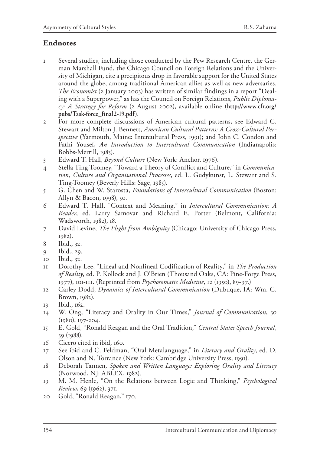## **Endnotes**

- 1 Several studies, including those conducted by the Pew Research Centre, the German Marshall Fund, the Chicago Council on Foreign Relations and the University of Michigan, cite a precipitous drop in favorable support for the United States around the globe, among traditional American allies as well as new adversaries. *The Economist* (2 January 2003) has written of similar findings in a report "Dealing with a Superpower," as has the Council on Foreign Relations, *Public Diplomacy: A Strategy for Reform* (2 August 2002), available online (**http://www.cfr.org/ pubs/Task-force\_final2-19.pdf**).
- 2 For more complete discussions of American cultural patterns, see Edward C. Stewart and Milton J. Bennett, *American Cultural Patterns: A Cross-Cultural Perspective* (Yarmouth, Maine: Intercultural Press, 1991); and John C. Condon and Fathi Yousef, *An Introduction to Intercultural Communication* (Indianapolis: Bobbs-Merrill, 1983).
- 3 Edward T. Hall, *Beyond Culture* (New York: Anchor, 1976).
- 4 Stella Ting-Toomey, "Toward a Theory of Conflict and Culture," in *Communication, Culture and Organisational Processes*, ed. L. Gudykunst, L. Stewart and S. Ting-Toomey (Beverly Hills: Sage, 1985).
- 5 G. Chen and W. Starosta, *Foundations of Intercultural Communication* (Boston: Allyn & Bacon, 1998), 50.
- 6 Edward T. Hall, "Context and Meaning," in *Intercultural Communication: A Reader*, ed. Larry Samovar and Richard E. Porter (Belmont, California: Wadsworth, 1982), 18.
- 7 David Levine, *The Flight from Ambiguity* (Chicago: University of Chicago Press, 1982).
- 8 Ibid., 32.
- 9 Ibid., 29.
- 10 Ibid., 32.
- 11 Dorothy Lee, "Lineal and Nonlineal Codification of Reality," in *The Production of Reality*, ed. P. Kollock and J. O'Brien (Thousand Oaks, CA: Pine-Forge Press, 1977), 101-111. (Reprinted from *Psychosomatic Medicine*, 12 (1950), 89-97.)
- 12 Carley Dodd, *Dynamics of Intercultural Communication* (Dubuque, IA: Wm. C. Brown, 1982).
- 13 Ibid., 162.
- 14 W. Ong, "Literacy and Orality in Our Times," *Journal of Communication*, 30 (1980), 197-204.
- 15 E. Gold, "Ronald Reagan and the Oral Tradition," *Central States Speech Journal*, 39 (1988).
- 16 Cicero cited in ibid, 160.
- 17 See ibid and C. Feldman, "Oral Metalanguage," in *Literacy and Orality*, ed. D. Olson and N. Torrance (New York: Cambridge University Press, 1991).
- 18 Deborah Tannen, *Spoken and Written Language: Exploring Orality and Literacy*  (Norwood, NJ: ABLEX, 1982).
- 19 M. M. Henle, "On the Relations between Logic and Thinking," *Psychological Review*, 69 (1962), 371.
- 20 Gold, "Ronald Reagan," 170.